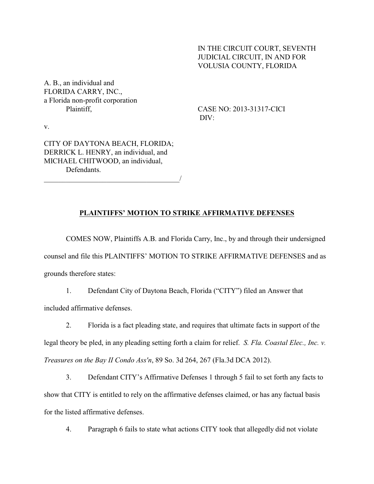## IN THE CIRCUIT COURT, SEVENTH JUDICIAL CIRCUIT, IN AND FOR VOLUSIA COUNTY, FLORIDA

A. B., an individual and FLORIDA CARRY, INC., a Florida non-profit corporation

Plaintiff, CASE NO: 2013-31317-CICI DIV:

v.

CITY OF DAYTONA BEACH, FLORIDA; DERRICK L. HENRY, an individual, and MICHAEL CHITWOOD, an individual, **Defendants** 

\_\_\_\_\_\_\_\_\_\_\_\_\_\_\_\_\_\_\_\_\_\_\_\_\_\_\_\_\_\_\_\_\_\_\_\_\_/

## **PLAINTIFFS' MOTION TO STRIKE AFFIRMATIVE DEFENSES**

COMES NOW, Plaintiffs A.B. and Florida Carry, Inc., by and through their undersigned counsel and file this PLAINTIFFS' MOTION TO STRIKE AFFIRMATIVE DEFENSES and as grounds therefore states:

1. Defendant City of Daytona Beach, Florida ("CITY") filed an Answer that included affirmative defenses.

2. Florida is a fact pleading state, and requires that ultimate facts in support of the legal theory be pled, in any pleading setting forth a claim for relief. *S. Fla. Coastal Elec., Inc. v. Treasures on the Bay II Condo Ass'n*, 89 So. 3d 264, 267 (Fla.3d DCA 2012).

3. Defendant CITY's Affirmative Defenses 1 through 5 fail to set forth any facts to show that CITY is entitled to rely on the affirmative defenses claimed, or has any factual basis for the listed affirmative defenses.

4. Paragraph 6 fails to state what actions CITY took that allegedly did not violate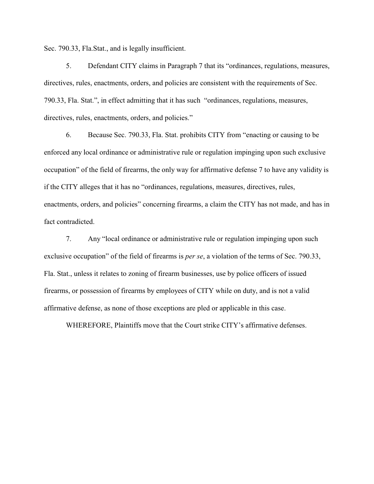Sec. 790.33, Fla.Stat., and is legally insufficient.

5. Defendant CITY claims in Paragraph 7 that its "ordinances, regulations, measures, directives, rules, enactments, orders, and policies are consistent with the requirements of Sec. 790.33, Fla. Stat.", in effect admitting that it has such "ordinances, regulations, measures, directives, rules, enactments, orders, and policies."

6. Because Sec. 790.33, Fla. Stat. prohibits CITY from "enacting or causing to be enforced any local ordinance or administrative rule or regulation impinging upon such exclusive occupation" of the field of firearms, the only way for affirmative defense 7 to have any validity is if the CITY alleges that it has no "ordinances, regulations, measures, directives, rules, enactments, orders, and policies" concerning firearms, a claim the CITY has not made, and has in fact contradicted.

7. Any "local ordinance or administrative rule or regulation impinging upon such exclusive occupation" of the field of firearms is *per se*, a violation of the terms of Sec. 790.33, Fla. Stat., unless it relates to zoning of firearm businesses, use by police officers of issued firearms, or possession of firearms by employees of CITY while on duty, and is not a valid affirmative defense, as none of those exceptions are pled or applicable in this case.

WHEREFORE, Plaintiffs move that the Court strike CITY's affirmative defenses.